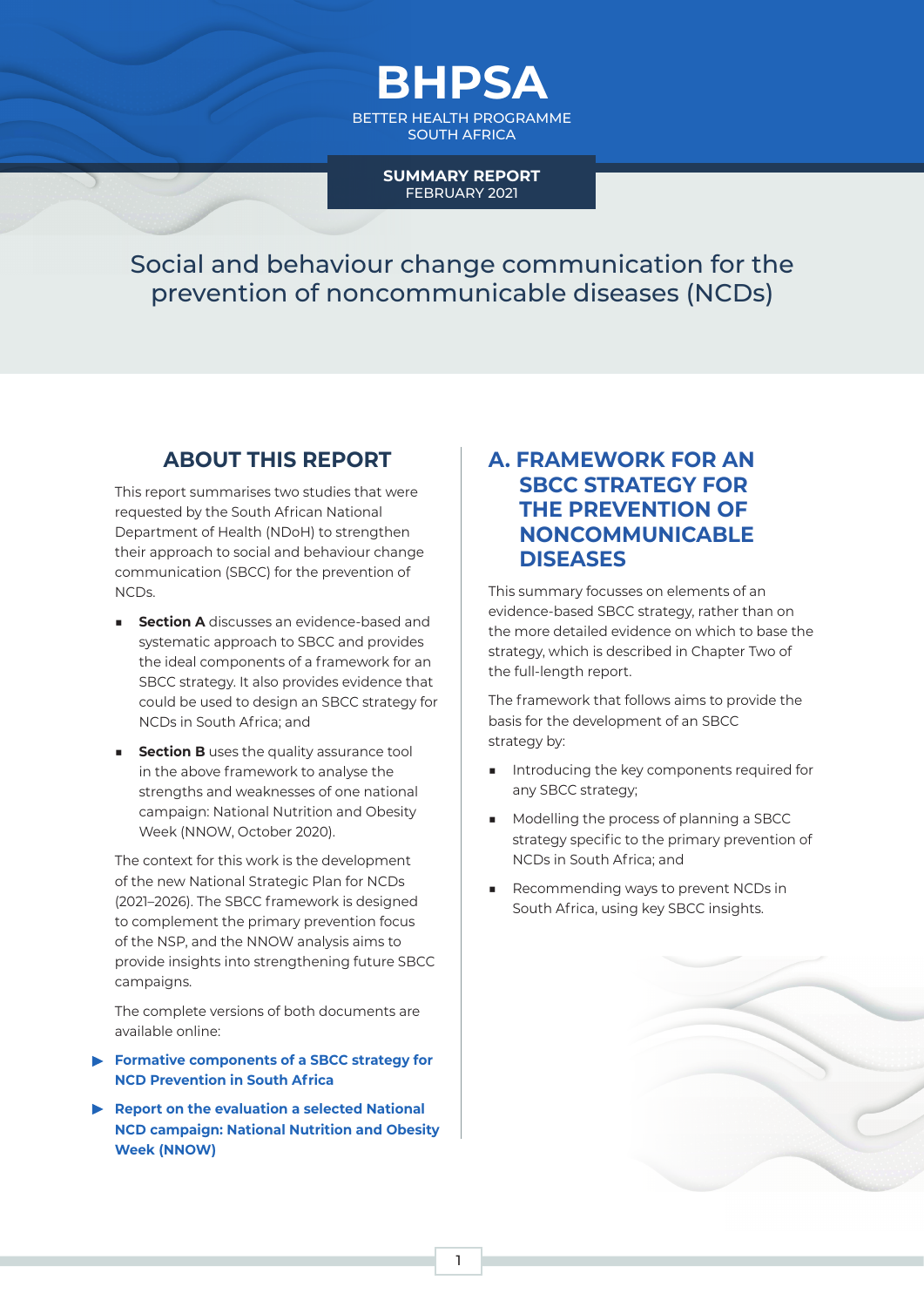

BETTER HEALTH PROGRAMME SOUTH AFRICA

#### **SUMMARY REPORT** FEBRUARY 2021

Social and behaviour change communication for the prevention of noncommunicable diseases (NCDs)

## **ABOUT THIS REPORT**

This report summarises two studies that were requested by the South African National Department of Health (NDoH) to strengthen their approach to social and behaviour change communication (SBCC) for the prevention of NCDs.

- **Section A** discusses an evidence-based and systematic approach to SBCC and provides the ideal components of a framework for an SBCC strategy. It also provides evidence that could be used to design an SBCC strategy for NCDs in South Africa; and
- **EXECTION B** uses the quality assurance tool in the above framework to analyse the strengths and weaknesses of one national campaign: National Nutrition and Obesity Week (NNOW, October 2020).

The context for this work is the development of the new National Strategic Plan for NCDs (2021–2026). The SBCC framework is designed to complement the primary prevention focus of the NSP, and the NNOW analysis aims to provide insights into strengthening future SBCC campaigns.

The complete versions of both documents are available online:

- **[Formative components of a SBCC strategy for](https://hssncds.co.za/component/jdownloads/?task=download.send&id=18:1-1-2-1-sbcc-strategy-for-ncd-prevention-in-south-africa-final-logos&catid=3&m=0&Itemid=351)  [NCD Prevention in South Africa](https://hssncds.co.za/component/jdownloads/?task=download.send&id=18:1-1-2-1-sbcc-strategy-for-ncd-prevention-in-south-africa-final-logos&catid=3&m=0&Itemid=351)**
- **[Report on the evaluation a selected National](https://hssncds.co.za/component/jdownloads/?task=download.send&id=17:1-1-2-2-national-nutrition-and-obesity-week-implementation-evaluation-final-logos&catid=3&m=0&Itemid=351)  [NCD campaign: National Nutrition and Obesity](https://hssncds.co.za/component/jdownloads/?task=download.send&id=17:1-1-2-2-national-nutrition-and-obesity-week-implementation-evaluation-final-logos&catid=3&m=0&Itemid=351)  [Week \(NNOW\)](https://hssncds.co.za/component/jdownloads/?task=download.send&id=17:1-1-2-2-national-nutrition-and-obesity-week-implementation-evaluation-final-logos&catid=3&m=0&Itemid=351)**

## **A. FRAMEWORK FOR AN SBCC STRATEGY FOR THE PREVENTION OF NONCOMMUNICABLE DISEASES**

This summary focusses on elements of an evidence-based SBCC strategy, rather than on the more detailed evidence on which to base the strategy, which is described in Chapter Two of the full-length report.

The framework that follows aims to provide the basis for the development of an SBCC strategy by:

- Introducing the key components required for any SBCC strategy;
- Modelling the process of planning a SBCC strategy specific to the primary prevention of NCDs in South Africa; and
- Recommending ways to prevent NCDs in South Africa, using key SBCC insights.



1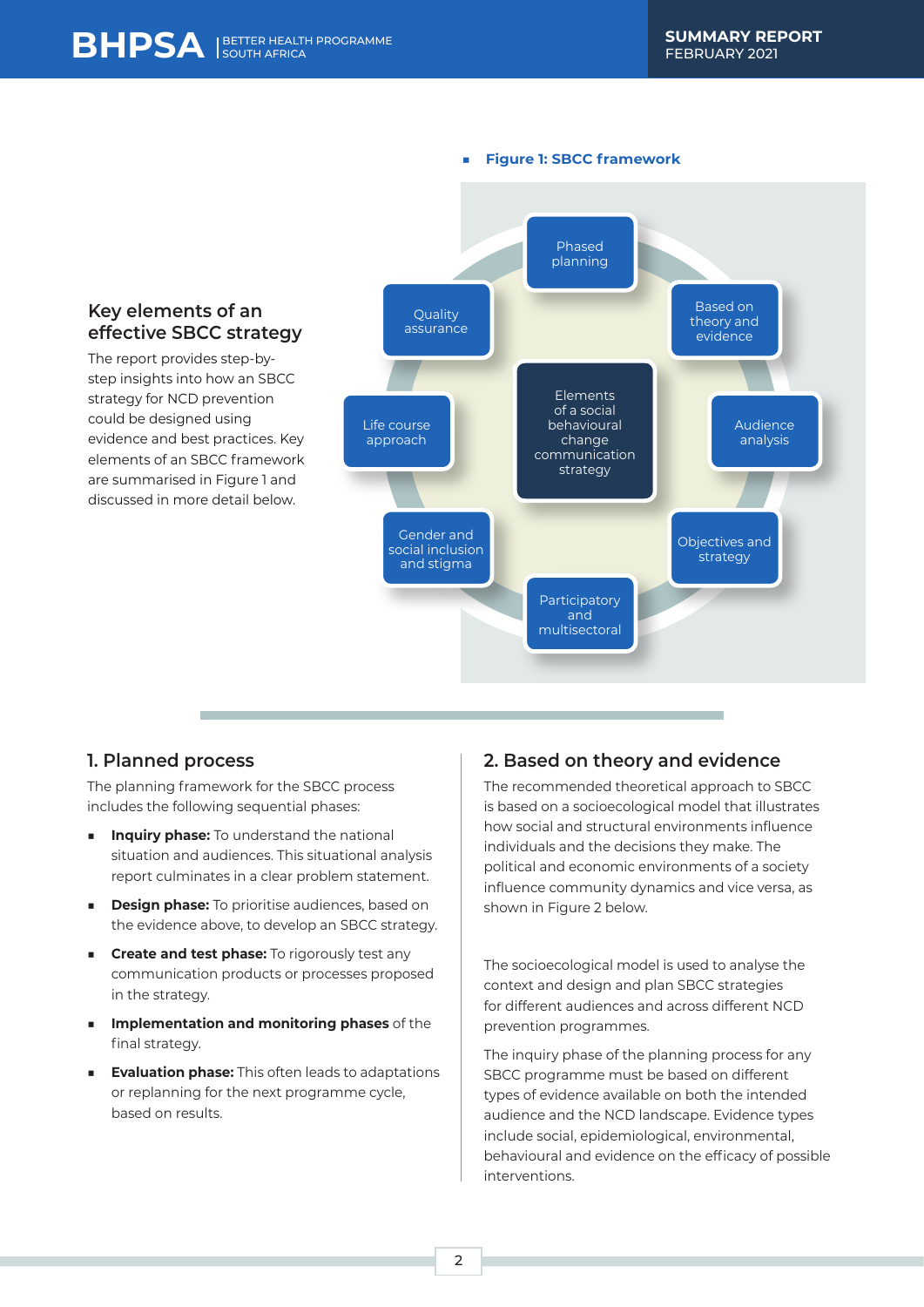#### ■ **Figure 1: SBCC framework**

#### **Key elements of an effective SBCC strategy** The report provides step-bystep insights into how an SBCC strategy for NCD prevention could be designed using evidence and best practices. Key elements of an SBCC framework are summarised in Figure 1 and discussed in more detail below. Phased planning Life course approach **Quality** assurance Elements of a social behavioural change communication strategy Objectives and strategy Based on theory and evidence Gender and social inclusion and stigma Audience analysis Participatory and multisectoral

#### **1. Planned process**

The planning framework for the SBCC process includes the following sequential phases:

- **Inquiry phase:** To understand the national situation and audiences. This situational analysis report culminates in a clear problem statement.
- **Design phase:** To prioritise audiences, based on the evidence above, to develop an SBCC strategy.
- **Execute and test phase:** To rigorously test any communication products or processes proposed in the strategy.
- **Implementation and monitoring phases** of the final strategy.
- **Evaluation phase:** This often leads to adaptations or replanning for the next programme cycle, based on results.

#### **2. Based on theory and evidence**

The recommended theoretical approach to SBCC is based on a socioecological model that illustrates how social and structural environments influence individuals and the decisions they make. The political and economic environments of a society influence community dynamics and vice versa, as shown in Figure 2 below.

The socioecological model is used to analyse the context and design and plan SBCC strategies for different audiences and across different NCD prevention programmes.

The inquiry phase of the planning process for any SBCC programme must be based on different types of evidence available on both the intended audience and the NCD landscape. Evidence types include social, epidemiological, environmental, behavioural and evidence on the efficacy of possible interventions.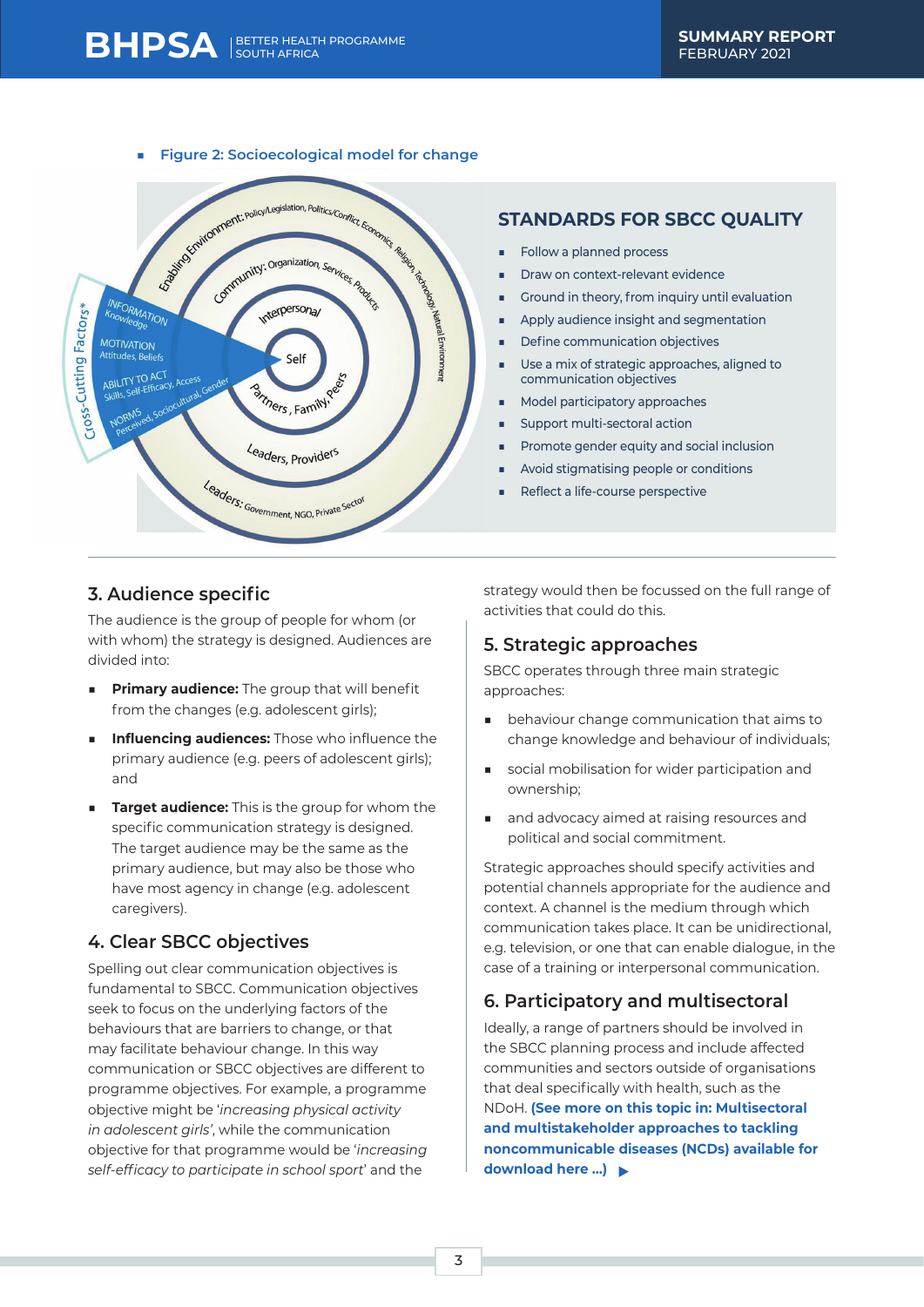

## **STANDARDS FOR SBCC QUALITY**

- Follow a planned process
- Draw on context-relevant evidence
- Ground in theory, from inquiry until evaluation
- Apply audience insight and segmentation
- Define communication objectives
- Use a mix of strategic approaches, aligned to communication objectives
- Model participatory approaches
- Support multi-sectoral action
- Promote gender equity and social inclusion
- Avoid stigmatising people or conditions
- Reflect a life-course perspective

## **3. Audience specific**

The audience is the group of people for whom (or with whom) the strategy is designed. Audiences are divided into:

- **Primary audience:** The group that will benefit from the changes (e.g. adolescent girls);
- **Influencing audiences:** Those who influence the primary audience (e.g. peers of adolescent girls); and
- **Target audience:** This is the group for whom the specific communication strategy is designed. The target audience may be the same as the primary audience, but may also be those who have most agency in change (e.g. adolescent caregivers).

## **4. Clear SBCC objectives**

Spelling out clear communication objectives is fundamental to SBCC. Communication objectives seek to focus on the underlying factors of the behaviours that are barriers to change, or that may facilitate behaviour change. In this way communication or SBCC objectives are different to programme objectives. For example, a programme objective might be '*increasing physical activity in adolescent girls'*, while the communication objective for that programme would be '*increasing self-efficacy to participate in school sport*' and the

strategy would then be focussed on the full range of activities that could do this.

#### **5. Strategic approaches**

SBCC operates through three main strategic approaches:

- behaviour change communication that aims to change knowledge and behaviour of individuals;
- social mobilisation for wider participation and ownership;
- and advocacy aimed at raising resources and political and social commitment.

Strategic approaches should specify activities and potential channels appropriate for the audience and context. A channel is the medium through which communication takes place. It can be unidirectional, e.g. television, or one that can enable dialogue, in the case of a training or interpersonal communication.

#### **6. Participatory and multisectoral**

Ideally, a range of partners should be involved in the SBCC planning process and include affected communities and sectors outside of organisations that deal specifically with health, such as the NDoH. **[\(See more on this topic in: Multisectoral](https://hssncds.co.za/component/jdownloads/?task=download.send&id=19:1-1-1-6-multisectoral-and-multi-stakeholder-approaches-to-tackling-ncds-lessons-from-implementation-final-logos&catid=3&m=0&Itemid=351)  [and multistakeholder approaches to tackling](https://hssncds.co.za/component/jdownloads/?task=download.send&id=19:1-1-1-6-multisectoral-and-multi-stakeholder-approaches-to-tackling-ncds-lessons-from-implementation-final-logos&catid=3&m=0&Itemid=351)  [noncommunicable diseases \(NCDs\) available for](https://hssncds.co.za/component/jdownloads/?task=download.send&id=19:1-1-1-6-multisectoral-and-multi-stakeholder-approaches-to-tackling-ncds-lessons-from-implementation-final-logos&catid=3&m=0&Itemid=351)  [download here ...\)](https://hssncds.co.za/component/jdownloads/?task=download.send&id=19:1-1-1-6-multisectoral-and-multi-stakeholder-approaches-to-tackling-ncds-lessons-from-implementation-final-logos&catid=3&m=0&Itemid=351)**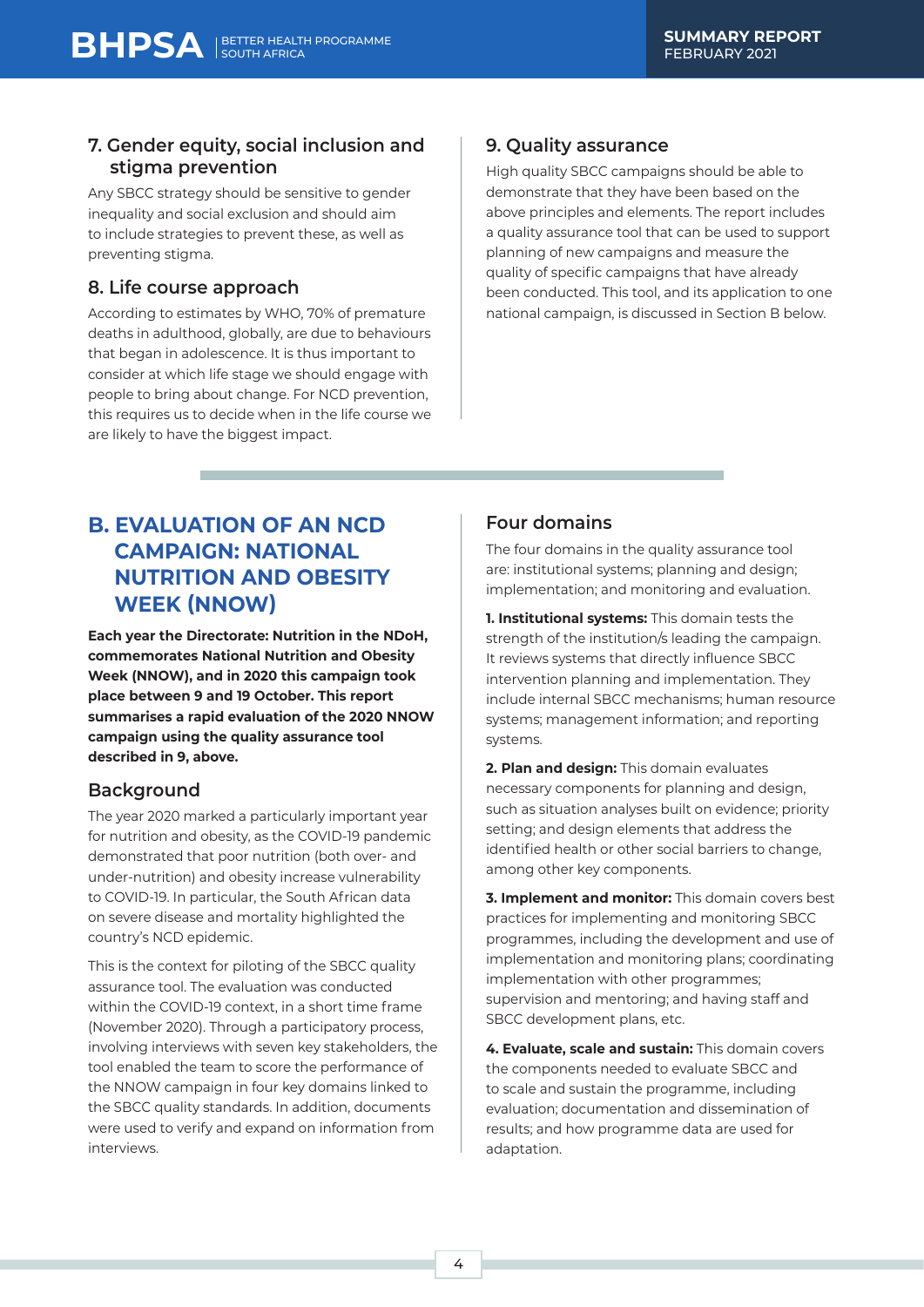## **7. Gender equity, social inclusion and stigma prevention**

Any SBCC strategy should be sensitive to gender inequality and social exclusion and should aim to include strategies to prevent these, as well as preventing stigma.

## **8. Life course approach**

According to estimates by WHO, 70% of premature deaths in adulthood, globally, are due to behaviours that began in adolescence. It is thus important to consider at which life stage we should engage with people to bring about change. For NCD prevention, this requires us to decide when in the life course we are likely to have the biggest impact.

## **9. Quality assurance**

High quality SBCC campaigns should be able to demonstrate that they have been based on the above principles and elements. The report includes a quality assurance tool that can be used to support planning of new campaigns and measure the quality of specific campaigns that have already been conducted. This tool, and its application to one national campaign, is discussed in Section B below.

# **B. EVALUATION OF AN NCD CAMPAIGN: NATIONAL NUTRITION AND OBESITY WEEK (NNOW)**

**Each year the Directorate: Nutrition in the NDoH, commemorates National Nutrition and Obesity Week (NNOW), and in 2020 this campaign took place between 9 and 19 October. This report summarises a rapid evaluation of the 2020 NNOW campaign using the quality assurance tool described in 9, above.** 

## **Background**

The year 2020 marked a particularly important year for nutrition and obesity, as the COVID-19 pandemic demonstrated that poor nutrition (both over- and under-nutrition) and obesity increase vulnerability to COVID-19. In particular, the South African data on severe disease and mortality highlighted the country's NCD epidemic.

This is the context for piloting of the SBCC quality assurance tool. The evaluation was conducted within the COVID-19 context, in a short time frame (November 2020). Through a participatory process, involving interviews with seven key stakeholders, the tool enabled the team to score the performance of the NNOW campaign in four key domains linked to the SBCC quality standards. In addition, documents were used to verify and expand on information from interviews.

## **Four domains**

The four domains in the quality assurance tool are: institutional systems; planning and design; implementation; and monitoring and evaluation.

**1. Institutional systems:** This domain tests the strength of the institution/s leading the campaign. It reviews systems that directly influence SBCC intervention planning and implementation. They include internal SBCC mechanisms; human resource systems; management information; and reporting systems.

**2. Plan and design:** This domain evaluates necessary components for planning and design, such as situation analyses built on evidence; priority setting; and design elements that address the identified health or other social barriers to change, among other key components.

**3. Implement and monitor:** This domain covers best practices for implementing and monitoring SBCC programmes, including the development and use of implementation and monitoring plans; coordinating implementation with other programmes; supervision and mentoring; and having staff and SBCC development plans, etc.

**4. Evaluate, scale and sustain:** This domain covers the components needed to evaluate SBCC and to scale and sustain the programme, including evaluation; documentation and dissemination of results; and how programme data are used for adaptation.